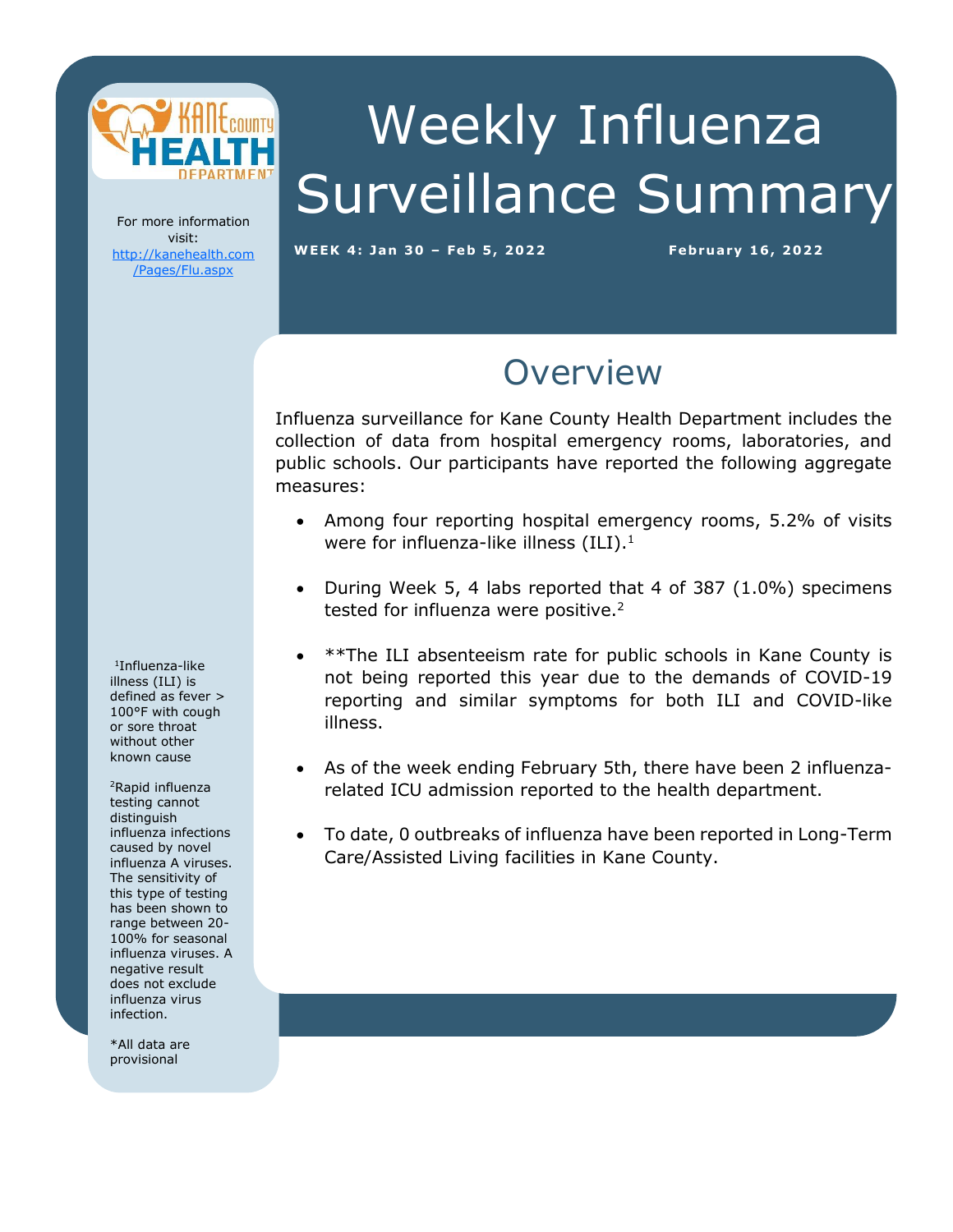

# Weekly Influenza Surveillance Summary

For more information visit: [http://kanehealth.com](http://kanehealth.com/Pages/Flu.aspx) [/Pages/Flu.aspx](http://kanehealth.com/Pages/Flu.aspx)

**WEEK 4: Ja n 3 0 – Feb 5, 2 0 2 2 February 1 6, 2 0 22**

data that make this monitoring possible.

#### **Overview**

Influenza surveillance for Kane County Health Department includes the collection of data from hospital emergency rooms, laboratories, and public schools. Our participants have reported the following aggregate measures:

- Among four reporting hospital emergency rooms, 5.2% of visits were for influenza-like illness  $(ILI).<sup>1</sup>$
- During Week 5, 4 labs reported that 4 of 387 (1.0%) specimens tested for influenza were positive.<sup>2</sup>
- \*\*The ILI absenteeism rate for public schools in Kane County is not being reported this year due to the demands of COVID-19 reporting and similar symptoms for both ILI and COVID-like illness.
- As of the week ending February 5th, there have been 2 influenzarelated ICU admission reported to the health department.
- To date, 0 outbreaks of influenza have been reported in Long-Term Care/Assisted Living facilities in Kane County.

1 Influenza-like illness (ILI) is defined as fever > 100°F with cough or sore throat without other known cause

<sup>2</sup>Rapid influenza testing cannot distinguish influenza infections caused by novel influenza A viruses. The sensitivity of this type of testing has been shown to range between 20- 100% for seasonal influenza viruses. A negative result does not exclude influenza virus infection.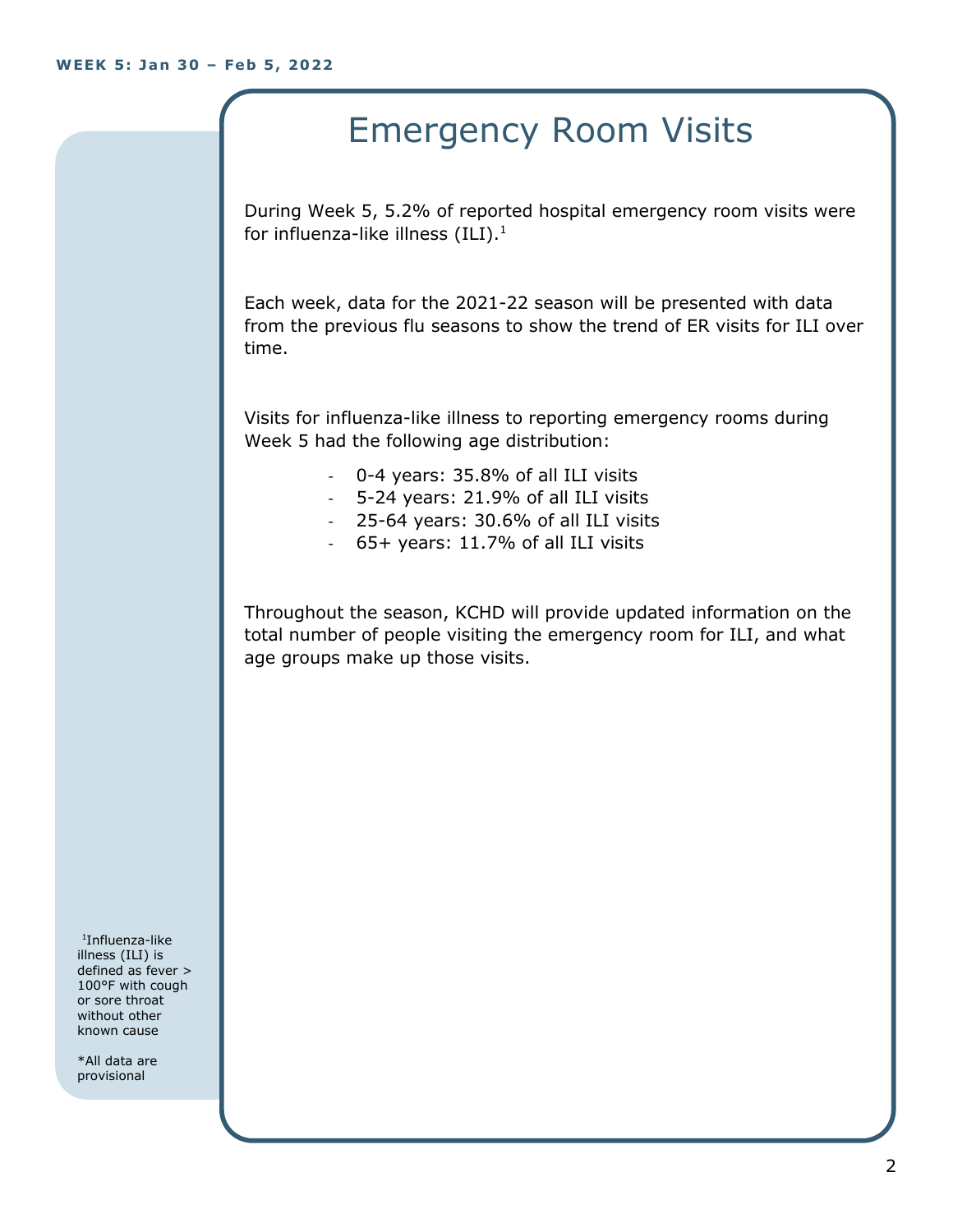## Emergency Room Visits

During Week 5, 5.2% of reported hospital emergency room visits were for influenza-like illness  $(III).<sup>1</sup>$ 

Each week, data for the 2021-22 season will be presented with data from the previous flu seasons to show the trend of ER visits for ILI over time.

Visits for influenza-like illness to reporting emergency rooms during Week 5 had the following age distribution:

- 0-4 years: 35.8% of all ILI visits
- 5-24 years: 21.9% of all ILI visits
- 25-64 years: 30.6% of all ILI visits
- 65+ years: 11.7% of all ILI visits

Throughout the season, KCHD will provide updated information on the total number of people visiting the emergency room for ILI, and what age groups make up those visits.

1 Influenza-like illness (ILI) is defined as fever > 100°F with cough or sore throat without other known cause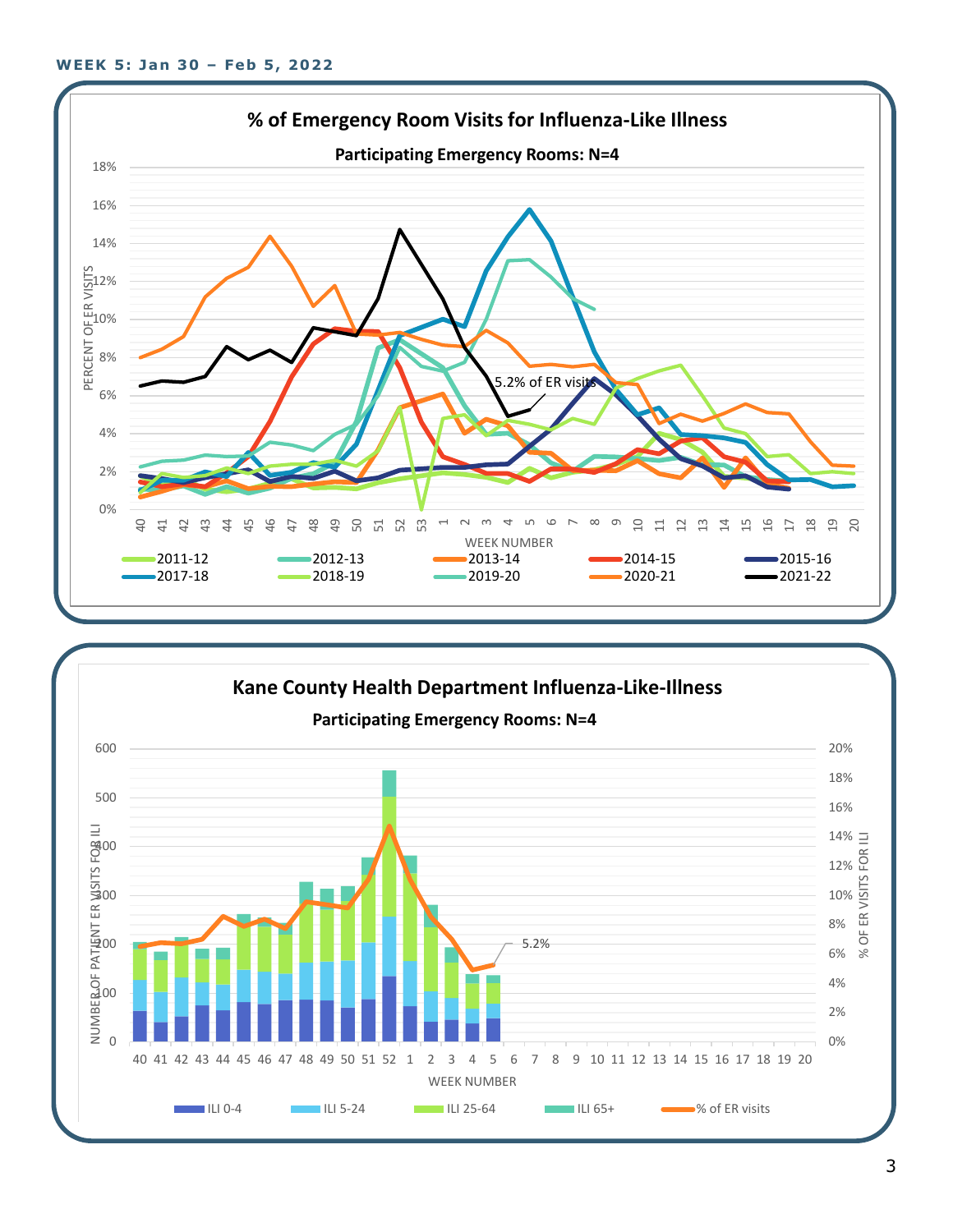

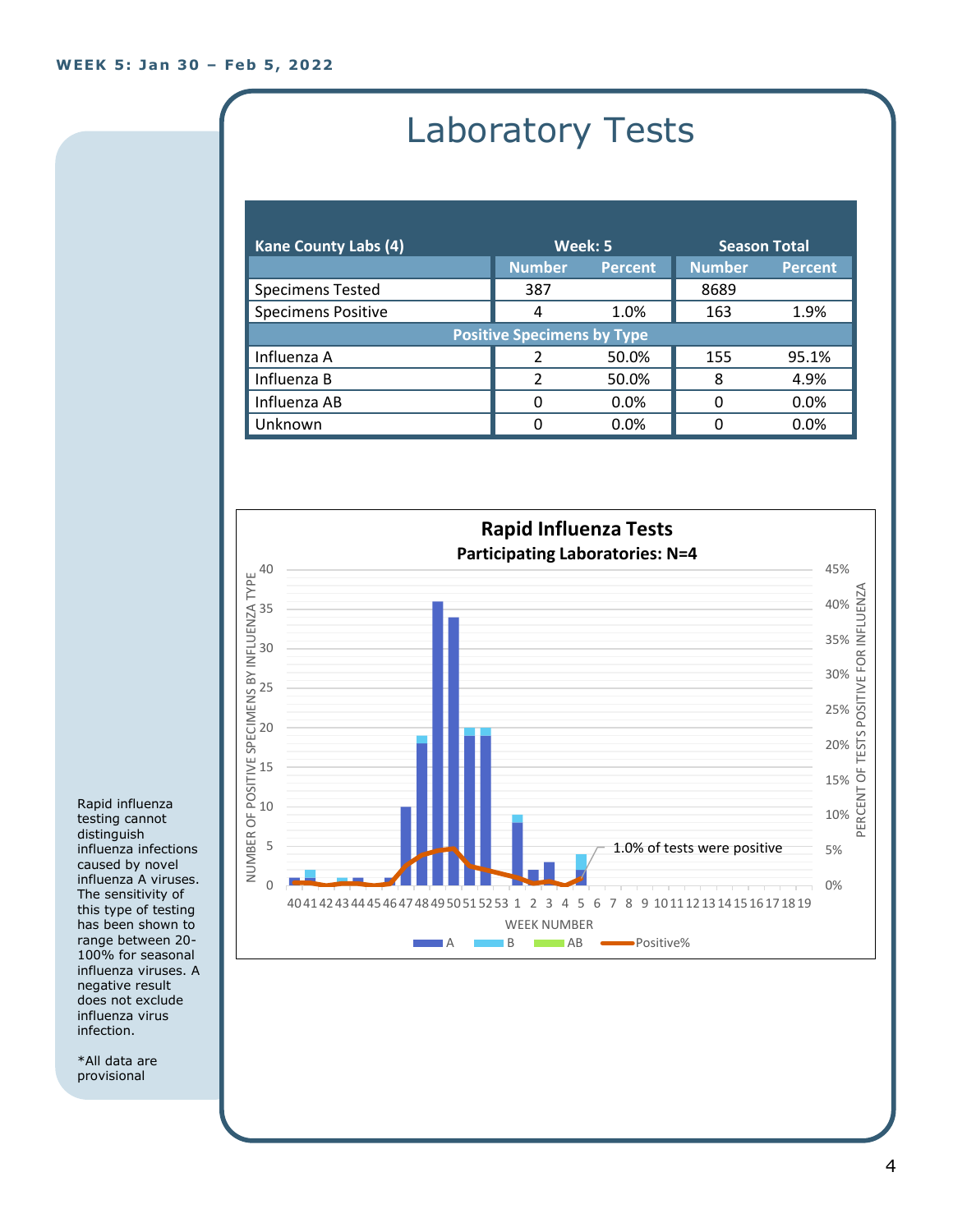## Laboratory Tests

| <b>Kane County Labs (4)</b>       | Week: 5       |                | <b>Season Total</b> |                |  |
|-----------------------------------|---------------|----------------|---------------------|----------------|--|
|                                   | <b>Number</b> | <b>Percent</b> | <b>Number</b>       | <b>Percent</b> |  |
| <b>Specimens Tested</b>           | 387           |                | 8689                |                |  |
| <b>Specimens Positive</b>         | 4             | 1.0%           | 163                 | 1.9%           |  |
| <b>Positive Specimens by Type</b> |               |                |                     |                |  |
| Influenza A                       | $\mathcal{P}$ | 50.0%          | 155                 | 95.1%          |  |
| Influenza B                       | $\mathcal{P}$ | 50.0%          | 8                   | 4.9%           |  |
| Influenza AB                      | 0             | 0.0%           | O                   | 0.0%           |  |
| Unknown                           | 0             | 0.0%           |                     | $0.0\%$        |  |



Rapid influenza testing cannot distinguish influenza infections caused by novel influenza A viruses. The sensitivity of this type of testing has been shown to range between 20- 100% for seasonal influenza viruses. A negative result does not exclude influenza virus infection.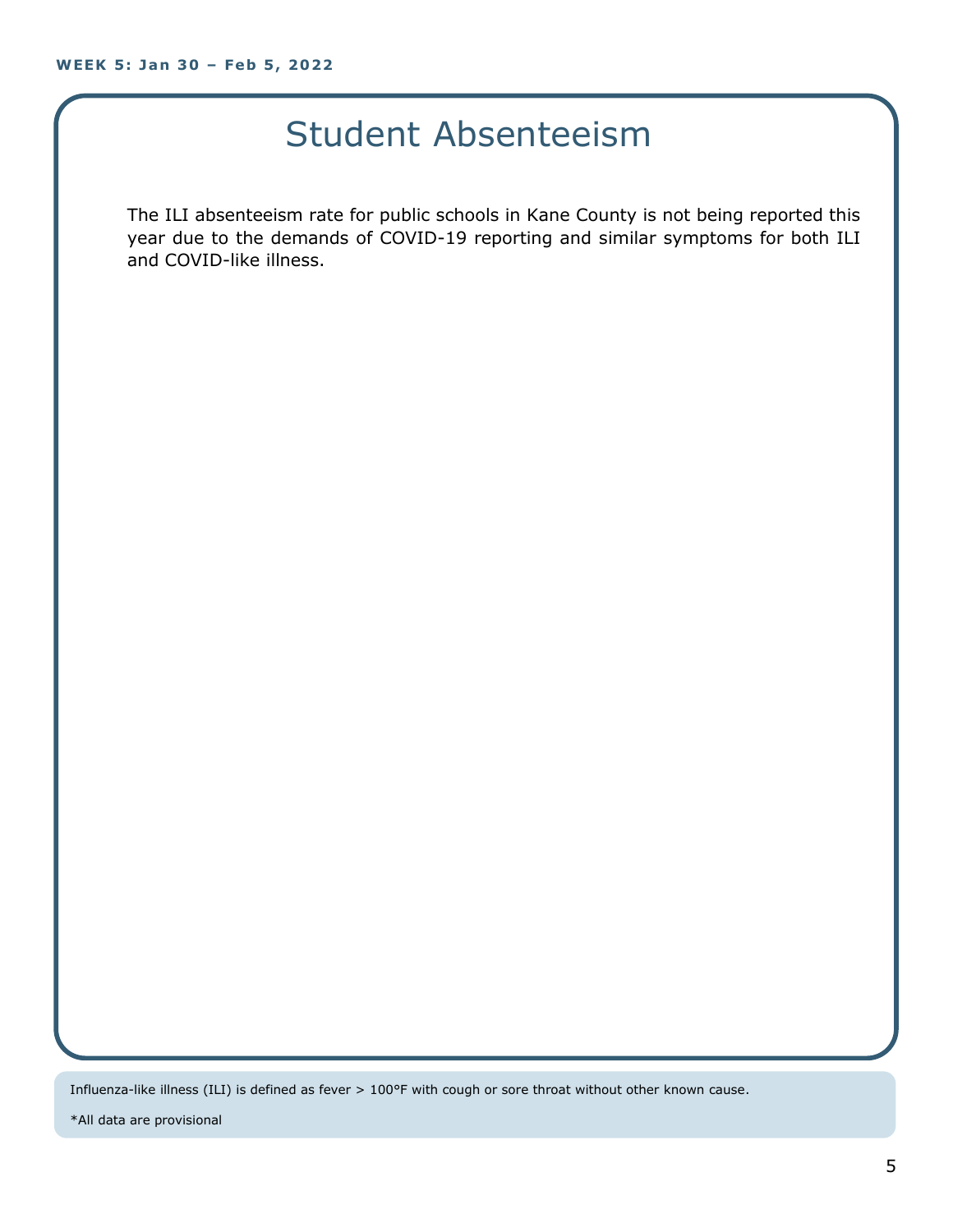#### Student Absenteeism

The ILI absenteeism rate for public schools in Kane County is not being reported this year due to the demands of COVID-19 reporting and similar symptoms for both ILI and COVID-like illness.

Influenza-like illness (ILI) is defined as fever > 100°F with cough or sore throat without other known cause.